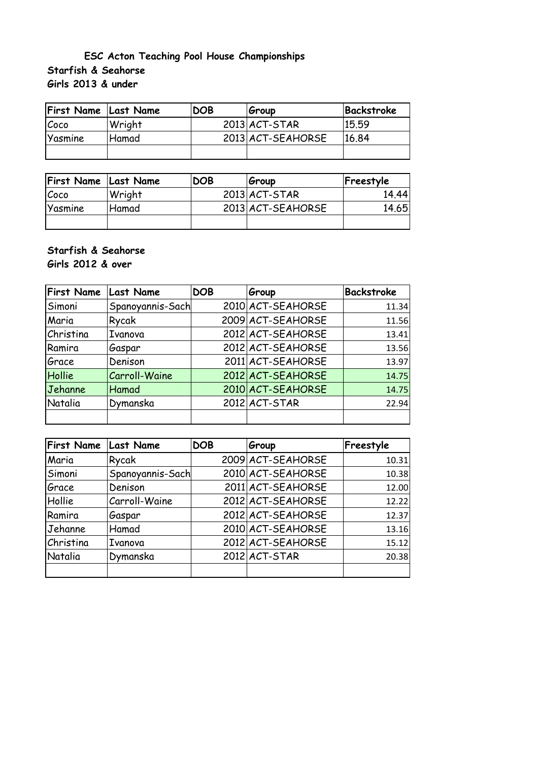## **Starfish & Seahorse Girls 2013 & under ESC Acton Teaching Pool House Championships**

| <b>First Name Last Name</b> |        | <b>DOB</b> | Group             | Backstroke |
|-----------------------------|--------|------------|-------------------|------------|
| Coco                        | Wright |            | $2013$ $ACT-STAR$ | 15.59      |
| Yasmine                     | Hamad  |            | 2013 ACT-SEAHORSE | 16.84      |
|                             |        |            |                   |            |

| <b>First Name Last Name</b> |              | <b>DOB</b> | Group             | Freestyle |
|-----------------------------|--------------|------------|-------------------|-----------|
| Coco                        | Wright       |            | $2013$ $ACT-STAR$ | 14.44     |
| Yasmine                     | <b>Hamad</b> |            | 2013 ACT-SEAHORSE | 14.65     |
|                             |              |            |                   |           |

## **Starfish & Seahorse Girls 2012 & over**

**First Name Last Name DOB Group Backstroke** Simoni Spanoyannis-Sach 2010 ACT-SEAHORSE 11.34 Maria Rycak | 2009 ACT-SEAHORSE | 11.56 Christina Ivanova | 2012 ACT-SEAHORSE | 13.41 Ramira Gaspar | 2012 ACT-SEAHORSE | 13.56 Grace Denison 2011 ACT-SEAHORSE 13.97 Hollie Carroll-Waine 2012 ACT-SEAHORSE 14.75 Jehanne Hamad 14.75 Natalia Dymanska 2012 ACT-STAR 22.94

| <b>First Name</b> | <b>Last Name</b> | <b>DOB</b> | Group             | Freestyle |
|-------------------|------------------|------------|-------------------|-----------|
| Maria             | Rycak            |            | 2009 ACT-SEAHORSE | 10.31     |
| Simoni            | Spanoyannis-Sach |            | 2010 ACT-SEAHORSE | 10.38     |
| Grace             | Denison          |            | 2011 ACT-SEAHORSE | 12.00     |
| Hollie            | Carroll-Waine    |            | 2012 ACT-SEAHORSE | 12.22     |
| Ramira            | Gaspar           |            | 2012 ACT-SEAHORSE | 12.37     |
| Jehanne           | Hamad            |            | 2010 ACT-SEAHORSE | 13.16     |
| Christina         | Ivanova          |            | 2012 ACT-SEAHORSE | 15.12     |
| Natalia           | Dymanska         |            | $2012$ $ACT-STAR$ | 20.38     |
|                   |                  |            |                   |           |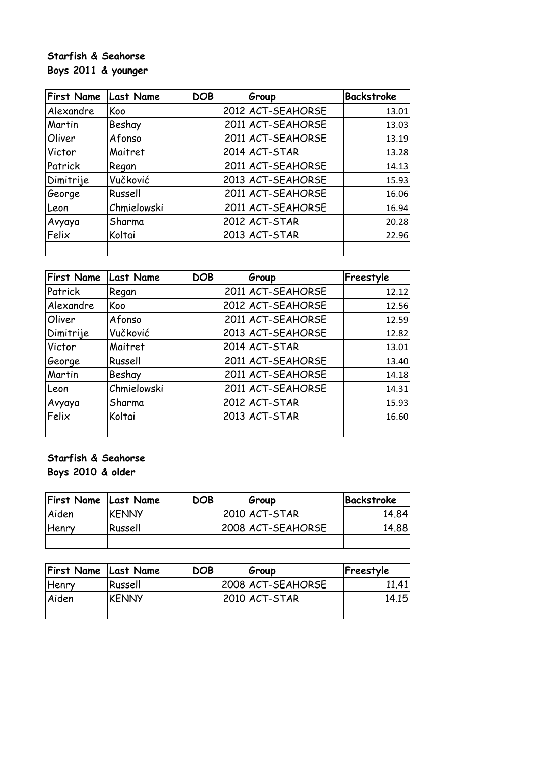# **Starfish & Seahorse Boys 2011 & younger**

| <b>First Name</b> | <b>Last Name</b> | <b>DOB</b> | Group             | <b>Backstroke</b> |
|-------------------|------------------|------------|-------------------|-------------------|
| Alexandre         | Koo              |            | 2012 ACT-SEAHORSE | 13.01             |
| Martin            | Beshay           |            | 2011 ACT-SEAHORSE | 13.03             |
| Oliver            | Afonso           |            | 2011 ACT-SEAHORSE | 13.19             |
| Victor            | Maitret          |            | $2014$ $ACT-STAR$ | 13.28             |
| Patrick           | Regan            |            | 2011 ACT-SEAHORSE | 14.13             |
| Dimitrije         | Vučković         |            | 2013 ACT-SEAHORSE | 15.93             |
| George            | Russell          |            | 2011 ACT-SEAHORSE | 16.06             |
| Leon              | Chmielowski      |            | 2011 ACT-SEAHORSE | 16.94             |
| Avyaya            | Sharma           |            | 2012 ACT-STAR     | 20.28             |
| Felix             | Koltai           |            | $2013$ $ACT-STAR$ | 22.96             |
|                   |                  |            |                   |                   |

| <b>First Name</b> | <b>Last Name</b> | <b>DOB</b> | Group             | Freestyle |
|-------------------|------------------|------------|-------------------|-----------|
| Patrick           | Regan            |            | 2011 ACT-SEAHORSE | 12.12     |
| Alexandre         | Koo              |            | 2012 ACT-SEAHORSE | 12.56     |
| Oliver            | Afonso           |            | 2011 ACT-SEAHORSE | 12.59     |
| Dimitrije         | Vučković         |            | 2013 ACT-SEAHORSE | 12.82     |
| Victor            | Maitret          |            | $2014$ $ACT-STAR$ | 13.01     |
| George            | Russell          |            | 2011 ACT-SEAHORSE | 13.40     |
| Martin            | Beshay           |            | 2011 ACT-SEAHORSE | 14.18     |
| Leon              | Chmielowski      |            | 2011 ACT-SEAHORSE | 14.31     |
| Avyaya            | Sharma           |            | $2012$ $ACT-STAR$ | 15.93     |
| Felix             | Koltai           |            | 2013 ACT-STAR     | 16.60     |
|                   |                  |            |                   |           |

**Starfish & Seahorse Boys 2010 & older**

| <b>First Name Last Name</b> |              | <b>DOB</b> | Group             | Backstroke |
|-----------------------------|--------------|------------|-------------------|------------|
| Aiden                       | <b>KENNY</b> |            | 2010 ACT-STAR     | 14.84      |
| Henry                       | Russell      |            | 2008 ACT-SEAHORSE | 14.88      |
|                             |              |            |                   |            |

| <b>First Name Last Name</b> |              | <b>DOB</b> | Group             | Freestyle    |
|-----------------------------|--------------|------------|-------------------|--------------|
| <b>Henry</b>                | Russell      |            | 2008 ACT-SEAHORSE | 11.41        |
| Aiden                       | <b>KENNY</b> |            | 2010 ACT-STAR     | <u>14.15</u> |
|                             |              |            |                   |              |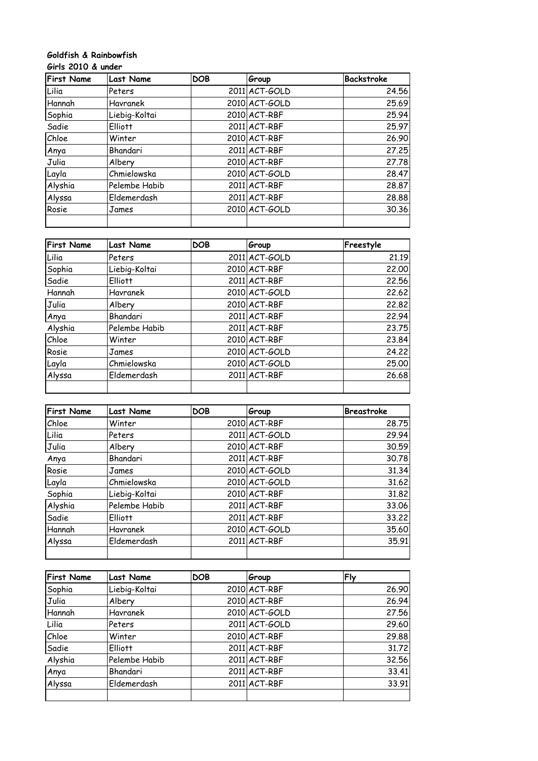#### **Goldfish & Rainbowfish Girls 2010 & under**

| <b>First Name</b> | <b>Last Name</b> | <b>DOB</b> | Group             | <b>Backstroke</b> |
|-------------------|------------------|------------|-------------------|-------------------|
| Lilia             | Peters           |            | 2011 ACT-GOLD     | 24.56             |
| Hannah            | Havranek         |            | 2010 ACT-GOLD     | 25.69             |
| Sophia            | Liebig-Koltai    |            | 2010 ACT-RBF      | 25.94             |
| Sadie             | <b>Elliott</b>   |            | 2011 ACT-RBF      | 25.97             |
| Chloe             | Winter           |            | $2010$ $AC$ T-RBF | 26.90             |
| Anya              | Bhandari         |            | 2011 ACT-RBF      | 27.25             |
| Julia             | Albery           |            | 2010 ACT-RBF      | 27.78             |
| Layla             | Chmielowska      |            | 2010 ACT-GOLD     | 28.47             |
| Alyshia           | Pelembe Habib    |            | 2011 ACT-RBF      | 28.87             |
| Alyssa            | Eldemerdash      |            | 2011 ACT-RBF      | 28.88             |
| Rosie             | James            |            | 2010 ACT-GOLD     | 30.36             |
|                   |                  |            |                   |                   |

| <b>First Name</b> | <b>Last Name</b> | <b>DOB</b> | Group         | Freestyle |
|-------------------|------------------|------------|---------------|-----------|
| Lilia             | Peters           |            | 2011 ACT-GOLD | 21.19     |
| Sophia            | Liebig-Koltai    |            | 2010 ACT-RBF  | 22.00     |
| Sadie             | <b>Elliott</b>   |            | 2011 ACT-RBF  | 22.56     |
| Hannah            | Havranek         |            | 2010 ACT-GOLD | 22.62     |
| Julia             | Albery           |            | 2010 ACT-RBF  | 22.82     |
| Anya              | Bhandari         |            | 2011 ACT-RBF  | 22.94     |
| Alyshia           | Pelembe Habib    |            | 2011 ACT-RBF  | 23.75     |
| Chloe             | Winter           |            | 2010 ACT-RBF  | 23.84     |
| Rosie             | James            |            | 2010 ACT-GOLD | 24.22     |
| Layla             | Chmielowska      |            | 2010 ACT-GOLD | 25.00     |
| Alyssa            | Eldemerdash      |            | 2011 ACT-RBF  | 26.68     |
|                   |                  |            |               |           |

| <b>First Name</b> | <b>Last Name</b> | <b>DOB</b> | Group             | <b>Breastroke</b> |
|-------------------|------------------|------------|-------------------|-------------------|
| Chloe             | Winter           |            | 2010 ACT-RBF      | 28.75             |
| Lilia             | Peters           |            | 2011 ACT-GOLD     | 29.94             |
| Julia             | Albery           |            | $2010$ $AC$ T-RBF | 30.59             |
| Anya              | Bhandari         |            | 2011 ACT-RBF      | 30.78             |
| Rosie             | James            |            | 2010 ACT-GOLD     | 31.34             |
| Layla             | Chmielowska      |            | 2010 ACT-GOLD     | 31.62             |
| Sophia            | Liebig-Koltai    |            | $2010$ $AC$ T-RBF | 31.82             |
| Alyshia           | Pelembe Habib    |            | 2011 ACT-RBF      | 33.06             |
| Sadie             | <b>Elliott</b>   |            | 2011 ACT-RBF      | 33,22             |
| Hannah            | Havranek         |            | 2010 ACT-GOLD     | 35.60             |
| Alyssa            | Eldemerdash      |            | 2011 ACT-RBF      | 35.91             |
|                   |                  |            |                   |                   |

| <b>First Name</b> | <b>Last Name</b> | <b>DOB</b> | Group             | Fly   |
|-------------------|------------------|------------|-------------------|-------|
| Sophia            | Liebig-Koltai    |            | $2010$ $AC$ T-RBF | 26.90 |
| Julia             | Albery           |            | $2010$ $AC$ T-RBF | 26.94 |
| Hannah            | Havranek         |            | 2010 ACT-GOLD     | 27.56 |
| Lilia             | Peters           |            | 2011 ACT-GOLD     | 29.60 |
| Chloe             | Winter           |            | $2010$ $AC$ T-RBF | 29.88 |
| Sadie             | <b>Elliott</b>   |            | 2011 ACT-RBF      | 31.72 |
| Alyshia           | Pelembe Habib    |            | 2011 ACT-RBF      | 32.56 |
| Anya              | Bhandari         |            | 2011 ACT-RBF      | 33.41 |
| Alyssa            | Eldemerdash      |            | 2011 ACT-RBF      | 33.91 |
|                   |                  |            |                   |       |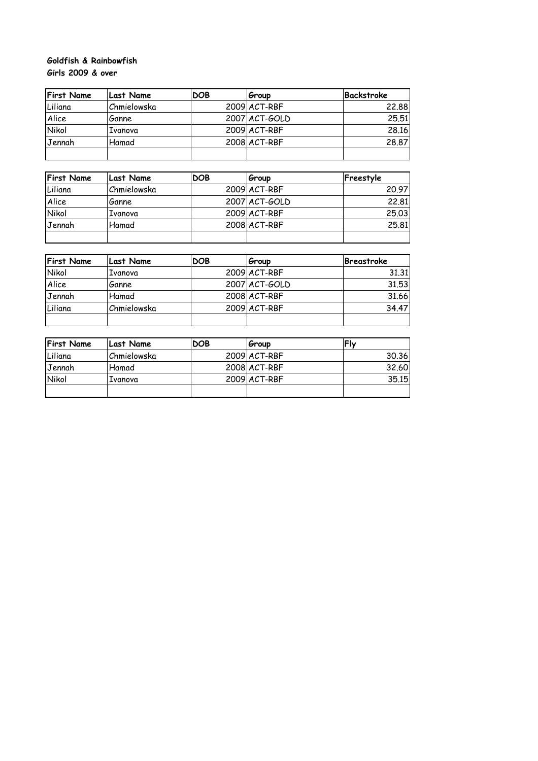## **Goldfish & Rainbowfish Girls 2009 & over**

| <b>First Name</b> | Last Name   | <b>DOB</b> | Group             | Backstroke |
|-------------------|-------------|------------|-------------------|------------|
| Liliana           | Chmielowska |            | $2009$ $AC$ T-RBF | 22.88      |
| Alice             | Ganne       |            | 2007 ACT-GOLD     | 25.51      |
| <b>Nikol</b>      | Ivanova     |            | $2009$ $AC$ T-RBF | 28.16      |
| Jennah            | Hamad       |            | $2008$ $AC$ T-RBF | 28,87      |
|                   |             |            |                   |            |

| <b>First Name</b> | Last Name   | <b>DOB</b> | Group         | Freestyle |
|-------------------|-------------|------------|---------------|-----------|
| Liliana           | Chmielowska |            | 2009 ACT-RBF  | 20.97     |
| Alice             | Ganne       |            | 2007 ACT-GOLD | 22.81     |
| Nikol             | Ivanova     |            | 2009 ACT-RBF  | 25,03     |
| Jennah            | Hamad       |            | 2008 ACT-RBF  | 25,81     |
|                   |             |            |               |           |

| <b>First Name</b> | Last Name   | <b>DOB</b> | Group         | Breastroke |
|-------------------|-------------|------------|---------------|------------|
| Nikol             | . Ivanova   |            | 2009 ACT-RBF  | 31.31      |
| Alice             | Ganne       |            | 2007 ACT-GOLD | 31.53      |
| Jennah            | Hamad       |            | 2008 ACT-RBF  | 31.66      |
| Liliana           | Chmielowska |            | 2009 ACT-RBF  | 34.47      |
|                   |             |            |               |            |

| <b>First Name</b> | Last Name   | <b>DOB</b> | Group        | Flv   |
|-------------------|-------------|------------|--------------|-------|
| Liliana           | Chmielowska |            | 2009 ACT-RBF | 30.36 |
| <b>IJennah</b>    | Hamad       |            | 2008 ACT-RBF | 32.60 |
| <b>Nikol</b>      | Ivanova     |            | 2009 ACT-RBF | 35.15 |
|                   |             |            |              |       |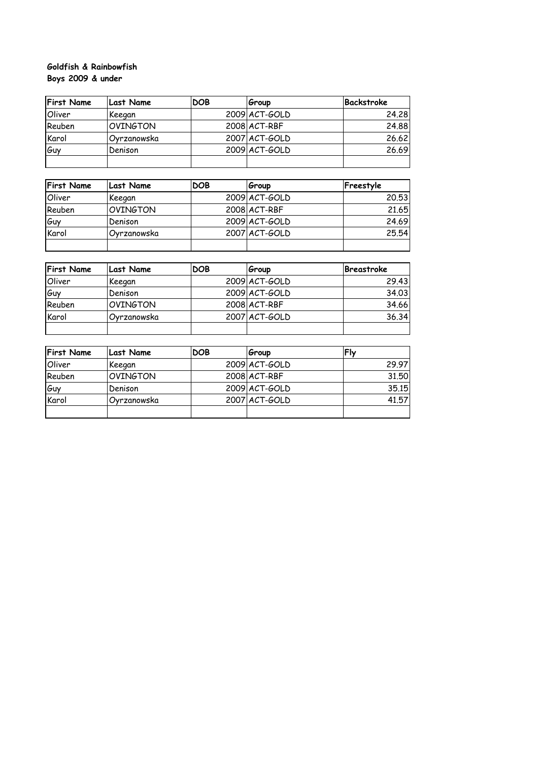## **Boys 2009 & under Goldfish & Rainbowfish**

| <b>First Name</b> | <b>Last Name</b> | <b>DOB</b> | Group         | Backstroke |
|-------------------|------------------|------------|---------------|------------|
| Oliver            | Keegan           |            | 2009 ACT-GOLD | 24.28      |
| Reuben            | <b>OVINGTON</b>  |            | 2008 ACT-RBF  | 24.88      |
| Karol             | Ovrzanowska      |            | 2007 ACT-GOLD | 26.62      |
| l <i>G</i> uv     | Denison          |            | 2009 ACT-GOLD | 26.69      |
|                   |                  |            |               |            |

| <b>First Name</b> | Last Name       | <b>DOB</b> | Group         | Freestyle |
|-------------------|-----------------|------------|---------------|-----------|
| Oliver            | Keegan          |            | 2009 ACT-GOLD | 20.53     |
| Reuben            | <b>OVINGTON</b> |            | 2008 ACT-RBF  | 21.65     |
| Guy               | Denison         |            | 2009 ACT-GOLD | 24.69     |
| Karol             | Ovrzanowska     |            | 2007 ACT-GOLD | 25,54     |
|                   |                 |            |               |           |

| <b>First Name</b> | Last Name        | <b>DOB</b> | Group         | Breastroke |
|-------------------|------------------|------------|---------------|------------|
| Oliver            | Keegan           |            | 2009 ACT-GOLD | 29.43      |
| Guy               | Denison          |            | 2009 ACT-GOLD | 34.03      |
| Reuben            | <b>IOVINGTON</b> |            | 2008 ACT-RBF  | 34.66      |
| Karol             | Ovrzanowska      |            | 2007 ACT-GOLD | 36.34      |
|                   |                  |            |               |            |

| <b>First Name</b> | Last Name       | <b>DOB</b> | Group         | <b>Fly</b> |
|-------------------|-----------------|------------|---------------|------------|
| Oliver            | Keegan          |            | 2009 ACT-GOLD | 29.97      |
| Reuben            | <b>OVINGTON</b> |            | 2008 ACT-RBF  | 31.50      |
| Guy               | Denison         |            | 2009 ACT-GOLD | 35.15      |
| Karol             | Ovrzanowska     |            | 2007 ACT-GOLD | 41.57      |
|                   |                 |            |               |            |